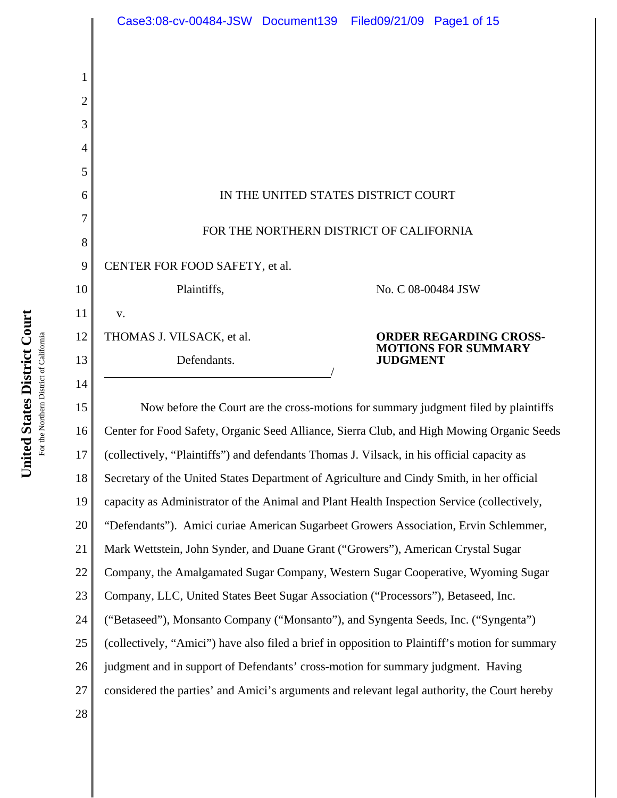|        | Case3:08-cv-00484-JSW Document139 Filed09/21/09 Page1 of 15                                     |  |                    |                               |  |
|--------|-------------------------------------------------------------------------------------------------|--|--------------------|-------------------------------|--|
|        |                                                                                                 |  |                    |                               |  |
| 1      |                                                                                                 |  |                    |                               |  |
| 2      |                                                                                                 |  |                    |                               |  |
| 3      |                                                                                                 |  |                    |                               |  |
| 4<br>5 |                                                                                                 |  |                    |                               |  |
| 6      | IN THE UNITED STATES DISTRICT COURT                                                             |  |                    |                               |  |
| 7      |                                                                                                 |  |                    |                               |  |
| 8      | FOR THE NORTHERN DISTRICT OF CALIFORNIA                                                         |  |                    |                               |  |
| 9      | CENTER FOR FOOD SAFETY, et al.                                                                  |  |                    |                               |  |
| 10     | Plaintiffs,                                                                                     |  | No. C 08-00484 JSW |                               |  |
| 11     | V.                                                                                              |  |                    |                               |  |
| 12     | THOMAS J. VILSACK, et al.                                                                       |  |                    | <b>ORDER REGARDING CROSS-</b> |  |
| 13     | Defendants.                                                                                     |  | <b>JUDGMENT</b>    | <b>MOTIONS FOR SUMMARY</b>    |  |
| 14     |                                                                                                 |  |                    |                               |  |
| 15     | Now before the Court are the cross-motions for summary judgment filed by plaintiffs             |  |                    |                               |  |
| 16     | Center for Food Safety, Organic Seed Alliance, Sierra Club, and High Mowing Organic Seeds       |  |                    |                               |  |
| 17     | (collectively, "Plaintiffs") and defendants Thomas J. Vilsack, in his official capacity as      |  |                    |                               |  |
| 18     | Secretary of the United States Department of Agriculture and Cindy Smith, in her official       |  |                    |                               |  |
| 19     | capacity as Administrator of the Animal and Plant Health Inspection Service (collectively,      |  |                    |                               |  |
| 20     | "Defendants"). Amici curiae American Sugarbeet Growers Association, Ervin Schlemmer,            |  |                    |                               |  |
| 21     | Mark Wettstein, John Synder, and Duane Grant ("Growers"), American Crystal Sugar                |  |                    |                               |  |
| 22     | Company, the Amalgamated Sugar Company, Western Sugar Cooperative, Wyoming Sugar                |  |                    |                               |  |
| 23     | Company, LLC, United States Beet Sugar Association ("Processors"), Betaseed, Inc.               |  |                    |                               |  |
| 24     | ("Betaseed"), Monsanto Company ("Monsanto"), and Syngenta Seeds, Inc. ("Syngenta")              |  |                    |                               |  |
| 25     | (collectively, "Amici") have also filed a brief in opposition to Plaintiff's motion for summary |  |                    |                               |  |
| 26     | judgment and in support of Defendants' cross-motion for summary judgment. Having                |  |                    |                               |  |
| 27     | considered the parties' and Amici's arguments and relevant legal authority, the Court hereby    |  |                    |                               |  |
| 28     |                                                                                                 |  |                    |                               |  |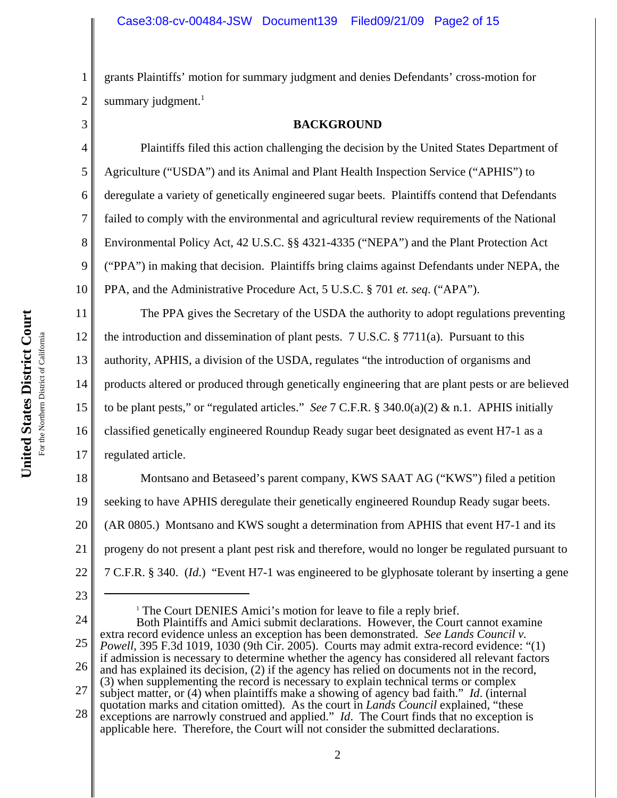2 grants Plaintiffs' motion for summary judgment and denies Defendants' cross-motion for summary judgment. $<sup>1</sup>$ </sup>

3

1

#### **BACKGROUND**

4 5 6 7 8 9 10 Plaintiffs filed this action challenging the decision by the United States Department of Agriculture ("USDA") and its Animal and Plant Health Inspection Service ("APHIS") to deregulate a variety of genetically engineered sugar beets. Plaintiffs contend that Defendants failed to comply with the environmental and agricultural review requirements of the National Environmental Policy Act, 42 U.S.C. §§ 4321-4335 ("NEPA") and the Plant Protection Act ("PPA") in making that decision. Plaintiffs bring claims against Defendants under NEPA, the PPA, and the Administrative Procedure Act, 5 U.S.C. § 701 *et. seq*. ("APA").

11 The PPA gives the Secretary of the USDA the authority to adopt regulations preventing

12 the introduction and dissemination of plant pests. 7 U.S.C.  $\S 7711(a)$ . Pursuant to this

13 authority, APHIS, a division of the USDA, regulates "the introduction of organisms and

14 products altered or produced through genetically engineering that are plant pests or are believed

15 to be plant pests," or "regulated articles." *See* 7 C.F.R. § 340.0(a)(2) & n.1. APHIS initially

16 17 classified genetically engineered Roundup Ready sugar beet designated as event H7-1 as a regulated article.

18 19 20 21 22 Montsano and Betaseed's parent company, KWS SAAT AG ("KWS") filed a petition seeking to have APHIS deregulate their genetically engineered Roundup Ready sugar beets. (AR 0805.) Montsano and KWS sought a determination from APHIS that event H7-1 and its progeny do not present a plant pest risk and therefore, would no longer be regulated pursuant to 7 C.F.R. § 340. (*Id*.) "Event H7-1 was engineered to be glyphosate tolerant by inserting a gene

<sup>1</sup> The Court DENIES Amici's motion for leave to file a reply brief.

<sup>23</sup>

<sup>24</sup> 25 26 27 28 Both Plaintiffs and Amici submit declarations. However, the Court cannot examine extra record evidence unless an exception has been demonstrated. *See Lands Council v. Powell*, 395 F.3d 1019, 1030 (9th Cir. 2005). Courts may admit extra-record evidence: "(1) if admission is necessary to determine whether the agency has considered all relevant factors and has explained its decision, (2) if the agency has relied on documents not in the record, (3) when supplementing the record is necessary to explain technical terms or complex subject matter, or (4) when plaintiffs make a showing of agency bad faith." *Id*. (internal quotation marks and citation omitted). As the court in *Lands Council* explained, "these exceptions are narrowly construed and applied." *Id*. The Court finds that no exception is applicable here. Therefore, the Court will not consider the submitted declarations.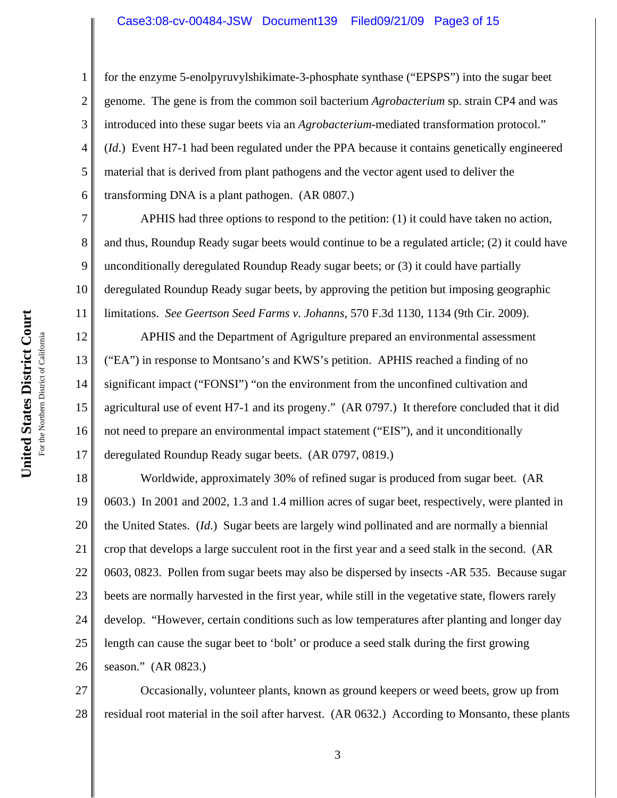#### Case3:08-cv-00484-JSW Document139 Filed09/21/09 Page3 of 15

for the enzyme 5-enolpyruvylshikimate-3-phosphate synthase ("EPSPS") into the sugar beet genome. The gene is from the common soil bacterium *Agrobacterium* sp. strain CP4 and was introduced into these sugar beets via an *Agrobacterium*-mediated transformation protocol." (*Id*.) Event H7-1 had been regulated under the PPA because it contains genetically engineered material that is derived from plant pathogens and the vector agent used to deliver the transforming DNA is a plant pathogen. (AR 0807.)

APHIS had three options to respond to the petition: (1) it could have taken no action, and thus, Roundup Ready sugar beets would continue to be a regulated article; (2) it could have unconditionally deregulated Roundup Ready sugar beets; or (3) it could have partially deregulated Roundup Ready sugar beets, by approving the petition but imposing geographic limitations. *See Geertson Seed Farms v. Johanns*, 570 F.3d 1130, 1134 (9th Cir. 2009).

12 13 16 APHIS and the Department of Agrigulture prepared an environmental assessment ("EA") in response to Montsano's and KWS's petition. APHIS reached a finding of no significant impact ("FONSI") "on the environment from the unconfined cultivation and agricultural use of event H7-1 and its progeny." (AR 0797.) It therefore concluded that it did not need to prepare an environmental impact statement ("EIS"), and it unconditionally deregulated Roundup Ready sugar beets. (AR 0797, 0819.)

18 19 20 21 22 23 24 25 26 Worldwide, approximately 30% of refined sugar is produced from sugar beet. (AR 0603.) In 2001 and 2002, 1.3 and 1.4 million acres of sugar beet, respectively, were planted in the United States. (*Id*.) Sugar beets are largely wind pollinated and are normally a biennial crop that develops a large succulent root in the first year and a seed stalk in the second. (AR 0603, 0823. Pollen from sugar beets may also be dispersed by insects -AR 535. Because sugar beets are normally harvested in the first year, while still in the vegetative state, flowers rarely develop. "However, certain conditions such as low temperatures after planting and longer day length can cause the sugar beet to 'bolt' or produce a seed stalk during the first growing season." (AR 0823.)

27 28 Occasionally, volunteer plants, known as ground keepers or weed beets, grow up from residual root material in the soil after harvest. (AR 0632.) According to Monsanto, these plants

1

2

3

4

5

6

7

8

9

10

11

14

15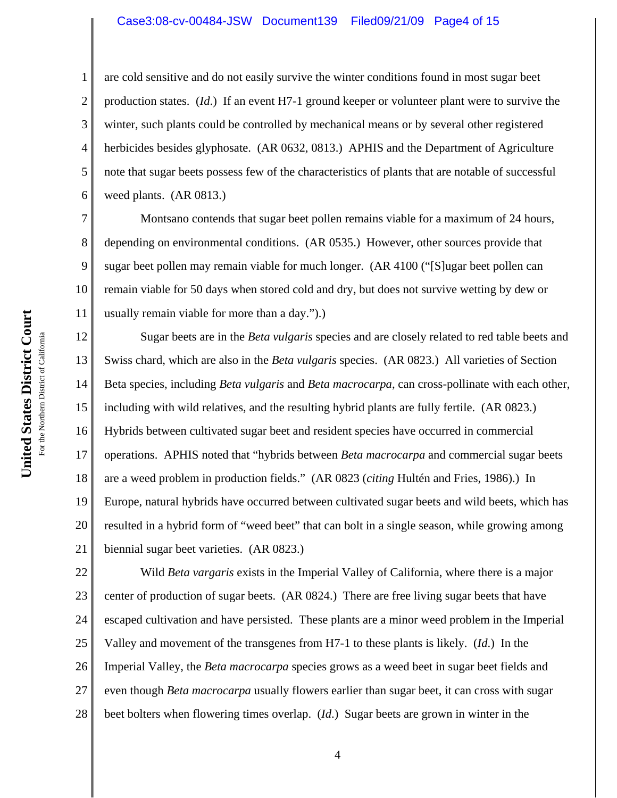#### Case3:08-cv-00484-JSW Document139 Filed09/21/09 Page4 of 15

3 4 6 are cold sensitive and do not easily survive the winter conditions found in most sugar beet production states. (*Id*.) If an event H7-1 ground keeper or volunteer plant were to survive the winter, such plants could be controlled by mechanical means or by several other registered herbicides besides glyphosate. (AR 0632, 0813.) APHIS and the Department of Agriculture note that sugar beets possess few of the characteristics of plants that are notable of successful weed plants. (AR 0813.)

Montsano contends that sugar beet pollen remains viable for a maximum of 24 hours, depending on environmental conditions. (AR 0535.) However, other sources provide that sugar beet pollen may remain viable for much longer. (AR 4100 ("[S]ugar beet pollen can remain viable for 50 days when stored cold and dry, but does not survive wetting by dew or usually remain viable for more than a day.").)

12 13 14 15 16 17 18 19 20 21 Sugar beets are in the *Beta vulgaris* species and are closely related to red table beets and Swiss chard, which are also in the *Beta vulgaris* species. (AR 0823.) All varieties of Section Beta species, including *Beta vulgaris* and *Beta macrocarpa*, can cross-pollinate with each other, including with wild relatives, and the resulting hybrid plants are fully fertile. (AR 0823.) Hybrids between cultivated sugar beet and resident species have occurred in commercial operations. APHIS noted that "hybrids between *Beta macrocarpa* and commercial sugar beets are a weed problem in production fields." (AR 0823 (*citing* Hultén and Fries, 1986).) In Europe, natural hybrids have occurred between cultivated sugar beets and wild beets, which has resulted in a hybrid form of "weed beet" that can bolt in a single season, while growing among biennial sugar beet varieties. (AR 0823.)

22 23 24 25 26 27 28 Wild *Beta vargaris* exists in the Imperial Valley of California, where there is a major center of production of sugar beets. (AR 0824.) There are free living sugar beets that have escaped cultivation and have persisted. These plants are a minor weed problem in the Imperial Valley and movement of the transgenes from H7-1 to these plants is likely. (*Id*.) In the Imperial Valley, the *Beta macrocarpa* species grows as a weed beet in sugar beet fields and even though *Beta macrocarpa* usually flowers earlier than sugar beet, it can cross with sugar beet bolters when flowering times overlap. (*Id*.) Sugar beets are grown in winter in the

1

2

5

7

8

9

10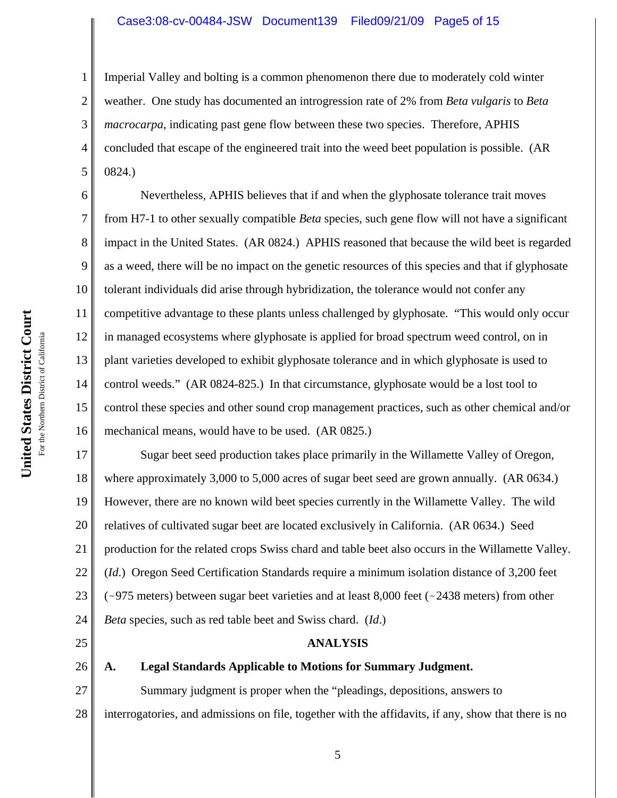#### Case3:08-cv-00484-JSW Document139 Filed09/21/09 Page5 of 15

Imperial Valley and bolting is a common phenomenon there due to moderately cold winter weather. One study has documented an introgression rate of 2% from *Beta vulgaris* to *Beta macrocarpa*, indicating past gene flow between these two species. Therefore, APHIS concluded that escape of the engineered trait into the weed beet population is possible. (AR 0824.)

6 8 9 10 11 12 13 14 15 16 Nevertheless, APHIS believes that if and when the glyphosate tolerance trait moves from H7-1 to other sexually compatible *Beta* species, such gene flow will not have a significant impact in the United States. (AR 0824.) APHIS reasoned that because the wild beet is regarded as a weed, there will be no impact on the genetic resources of this species and that if glyphosate tolerant individuals did arise through hybridization, the tolerance would not confer any competitive advantage to these plants unless challenged by glyphosate. "This would only occur in managed ecosystems where glyphosate is applied for broad spectrum weed control, on in plant varieties developed to exhibit glyphosate tolerance and in which glyphosate is used to control weeds." (AR 0824-825.) In that circumstance, glyphosate would be a lost tool to control these species and other sound crop management practices, such as other chemical and/or mechanical means, would have to be used. (AR 0825.)

17 18 19 20 21 22 23 24 Sugar beet seed production takes place primarily in the Willamette Valley of Oregon, where approximately 3,000 to 5,000 acres of sugar beet seed are grown annually. (AR 0634.) However, there are no known wild beet species currently in the Willamette Valley. The wild relatives of cultivated sugar beet are located exclusively in California. (AR 0634.) Seed production for the related crops Swiss chard and table beet also occurs in the Willamette Valley. (*Id*.) Oregon Seed Certification Standards require a minimum isolation distance of 3,200 feet ( $\sim$ 975 meters) between sugar beet varieties and at least 8,000 feet ( $\sim$ 2438 meters) from other *Beta* species, such as red table beet and Swiss chard. (*Id*.)

## **ANALYSIS**

#### **A. Legal Standards Applicable to Motions for Summary Judgment.**

27 28 Summary judgment is proper when the "pleadings, depositions, answers to interrogatories, and admissions on file, together with the affidavits, if any, show that there is no

1

2

3

4

5

7

25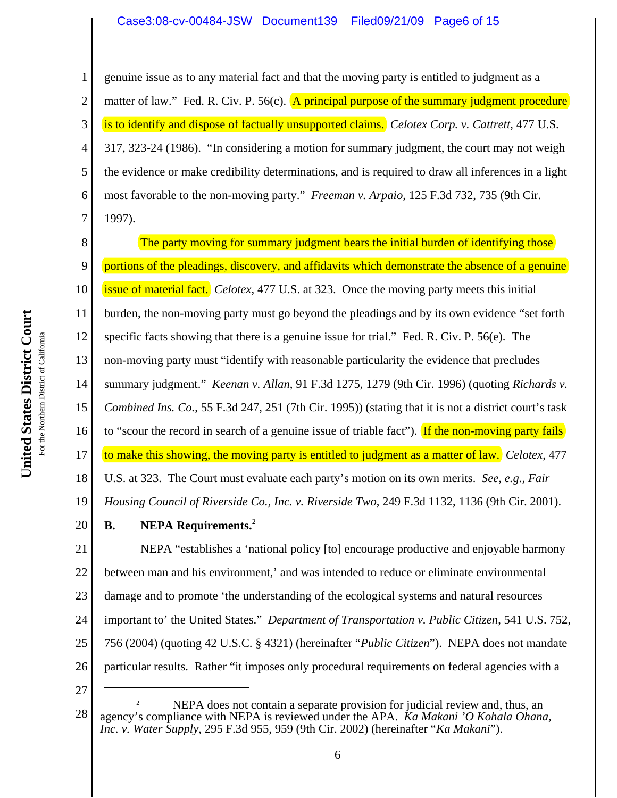## Case3:08-cv-00484-JSW Document139 Filed09/21/09 Page6 of 15

1 2 3 4 5 6 7 genuine issue as to any material fact and that the moving party is entitled to judgment as a matter of law." Fed. R. Civ. P.  $56(c)$ . A principal purpose of the summary judgment procedure is to identify and dispose of factually unsupported claims. *Celotex Corp. v. Cattrett*, 477 U.S. 317, 323-24 (1986). "In considering a motion for summary judgment, the court may not weigh the evidence or make credibility determinations, and is required to draw all inferences in a light most favorable to the non-moving party." *Freeman v. Arpaio*, 125 F.3d 732, 735 (9th Cir. 1997).

United States District Court **United States District Court** For the Northern District of California For the Northern District of California

8 9 10 11 12 13 14 15 16 17 18 19 20 21 22 23 24 25 26 The party moving for summary judgment bears the initial burden of identifying those portions of the pleadings, discovery, and affidavits which demonstrate the absence of a genuine issue of material fact. *Celotex*, 477 U.S. at 323. Once the moving party meets this initial burden, the non-moving party must go beyond the pleadings and by its own evidence "set forth specific facts showing that there is a genuine issue for trial." Fed. R. Civ. P. 56(e). The non-moving party must "identify with reasonable particularity the evidence that precludes summary judgment." *Keenan v. Allan*, 91 F.3d 1275, 1279 (9th Cir. 1996) (quoting *Richards v. Combined Ins. Co.*, 55 F.3d 247, 251 (7th Cir. 1995)) (stating that it is not a district court's task to "scour the record in search of a genuine issue of triable fact"). If the non-moving party fails to make this showing, the moving party is entitled to judgment as a matter of law. *Celotex*, 477 U.S. at 323. The Court must evaluate each party's motion on its own merits. *See, e.g., Fair Housing Council of Riverside Co., Inc. v. Riverside Two*, 249 F.3d 1132, 1136 (9th Cir. 2001). **B. NEPA Requirements.**<sup>2</sup> NEPA "establishes a 'national policy [to] encourage productive and enjoyable harmony between man and his environment,' and was intended to reduce or eliminate environmental damage and to promote 'the understanding of the ecological systems and natural resources important to' the United States." *Department of Transportation v. Public Citizen*, 541 U.S. 752, 756 (2004) (quoting 42 U.S.C. § 4321) (hereinafter "*Public Citizen*"). NEPA does not mandate particular results. Rather "it imposes only procedural requirements on federal agencies with a

<sup>28</sup> NEPA does not contain a separate provision for judicial review and, thus, an agency's compliance with NEPA is reviewed under the APA. *Ka Makani 'O Kohala Ohana, Inc. v. Water Supply*, 295 F.3d 955, 959 (9th Cir. 2002) (hereinafter "*Ka Makani*").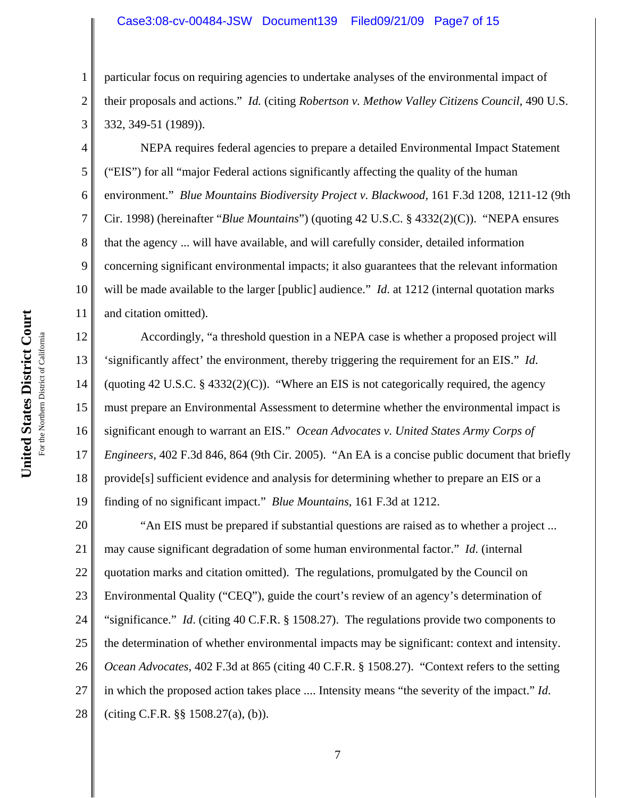#### Case3:08-cv-00484-JSW Document139 Filed09/21/09 Page7 of 15

particular focus on requiring agencies to undertake analyses of the environmental impact of their proposals and actions." *Id.* (citing *Robertson v. Methow Valley Citizens Council*, 490 U.S. 332, 349-51 (1989)).

NEPA requires federal agencies to prepare a detailed Environmental Impact Statement ("EIS") for all "major Federal actions significantly affecting the quality of the human environment." *Blue Mountains Biodiversity Project v. Blackwood,* 161 F.3d 1208, 1211-12 (9th Cir. 1998) (hereinafter "*Blue Mountains*") (quoting 42 U.S.C. § 4332(2)(C)). "NEPA ensures that the agency ... will have available, and will carefully consider, detailed information concerning significant environmental impacts; it also guarantees that the relevant information will be made available to the larger [public] audience." *Id*. at 1212 (internal quotation marks and citation omitted).

12 13 14 15 16 17 18 19 Accordingly, "a threshold question in a NEPA case is whether a proposed project will 'significantly affect' the environment, thereby triggering the requirement for an EIS." *Id*. (quoting 42 U.S.C. § 4332(2)(C)). "Where an EIS is not categorically required, the agency must prepare an Environmental Assessment to determine whether the environmental impact is significant enough to warrant an EIS." *Ocean Advocates v. United States Army Corps of Engineers*, 402 F.3d 846, 864 (9th Cir. 2005). "An EA is a concise public document that briefly provide[s] sufficient evidence and analysis for determining whether to prepare an EIS or a finding of no significant impact." *Blue Mountains*, 161 F.3d at 1212.

20 21 22 23 24 25 26 27 28 "An EIS must be prepared if substantial questions are raised as to whether a project ... may cause significant degradation of some human environmental factor." *Id*. (internal quotation marks and citation omitted). The regulations, promulgated by the Council on Environmental Quality ("CEQ"), guide the court's review of an agency's determination of "significance." *Id*. (citing 40 C.F.R. § 1508.27). The regulations provide two components to the determination of whether environmental impacts may be significant: context and intensity. *Ocean Advocates*, 402 F.3d at 865 (citing 40 C.F.R. § 1508.27). "Context refers to the setting in which the proposed action takes place .... Intensity means "the severity of the impact." *Id*. (citing C.F.R. §§ 1508.27(a), (b)).

1

2

3

4

5

6

7

8

9

10

11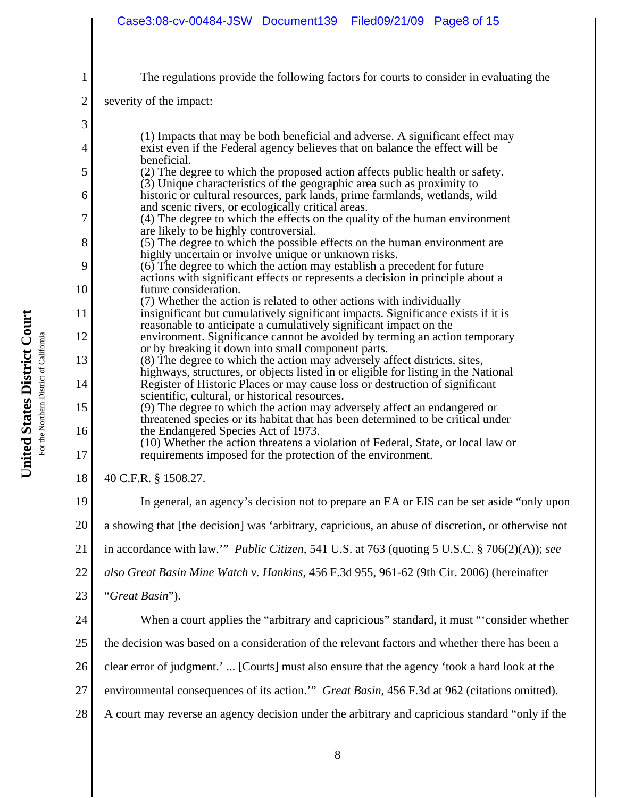| $\mathbf{1}$   | The regulations provide the following factors for courts to consider in evaluating the                                                                                                             |  |  |  |
|----------------|----------------------------------------------------------------------------------------------------------------------------------------------------------------------------------------------------|--|--|--|
| $\overline{2}$ | severity of the impact:                                                                                                                                                                            |  |  |  |
| 3              |                                                                                                                                                                                                    |  |  |  |
| 4              | (1) Impacts that may be both beneficial and adverse. A significant effect may<br>exist even if the Federal agency believes that on balance the effect will be<br>beneficial.                       |  |  |  |
| 5              | (2) The degree to which the proposed action affects public health or safety.<br>(3) Unique characteristics of the geographic area such as proximity to                                             |  |  |  |
| 6              | historic or cultural resources, park lands, prime farmlands, wetlands, wild<br>and scenic rivers, or ecologically critical areas.                                                                  |  |  |  |
| 7              | (4) The degree to which the effects on the quality of the human environment<br>are likely to be highly controversial.                                                                              |  |  |  |
| 8              | (5) The degree to which the possible effects on the human environment are<br>highly uncertain or involve unique or unknown risks.                                                                  |  |  |  |
| 9              | (6) The degree to which the action may establish a precedent for future<br>actions with significant effects or represents a decision in principle about a                                          |  |  |  |
| 10<br>11       | future consideration.<br>(7) Whether the action is related to other actions with individually<br>insignificant but cumulatively significant impacts. Significance exists if it is                  |  |  |  |
|                | reasonable to anticipate a cumulatively significant impact on the                                                                                                                                  |  |  |  |
| 12             | environment. Significance cannot be avoided by terming an action temporary<br>or by breaking it down into small component parts.                                                                   |  |  |  |
| 13             | (8) The degree to which the action may adversely affect districts, sites,<br>highways, structures, or objects listed in or eligible for listing in the National                                    |  |  |  |
| 14             | Register of Historic Places or may cause loss or destruction of significant<br>scientific, cultural, or historical resources.                                                                      |  |  |  |
| 15<br>16       | (9) The degree to which the action may adversely affect an endangered or<br>threatened species or its habitat that has been determined to be critical under<br>the Endangered Species Act of 1973. |  |  |  |
| 17             | (10) Whether the action threatens a violation of Federal, State, or local law or<br>requirements imposed for the protection of the environment.                                                    |  |  |  |
| 18             | 40 C.F.R. § 1508.27.                                                                                                                                                                               |  |  |  |
| 19             | In general, an agency's decision not to prepare an EA or EIS can be set aside "only upon                                                                                                           |  |  |  |
| 20             | a showing that [the decision] was 'arbitrary, capricious, an abuse of discretion, or otherwise not                                                                                                 |  |  |  |
| 21             | in accordance with law." Public Citizen, 541 U.S. at 763 (quoting 5 U.S.C. § 706(2)(A)); see                                                                                                       |  |  |  |
| 22             | also Great Basin Mine Watch v. Hankins, 456 F.3d 955, 961-62 (9th Cir. 2006) (hereinafter                                                                                                          |  |  |  |
| 23             | "Great Basin").                                                                                                                                                                                    |  |  |  |
| 24             | When a court applies the "arbitrary and capricious" standard, it must "consider whether                                                                                                            |  |  |  |
| 25             | the decision was based on a consideration of the relevant factors and whether there has been a                                                                                                     |  |  |  |
| 26             | clear error of judgment.' [Courts] must also ensure that the agency 'took a hard look at the                                                                                                       |  |  |  |
| 27             | environmental consequences of its action." Great Basin, 456 F.3d at 962 (citations omitted).                                                                                                       |  |  |  |
| 28             | A court may reverse an agency decision under the arbitrary and capricious standard "only if the                                                                                                    |  |  |  |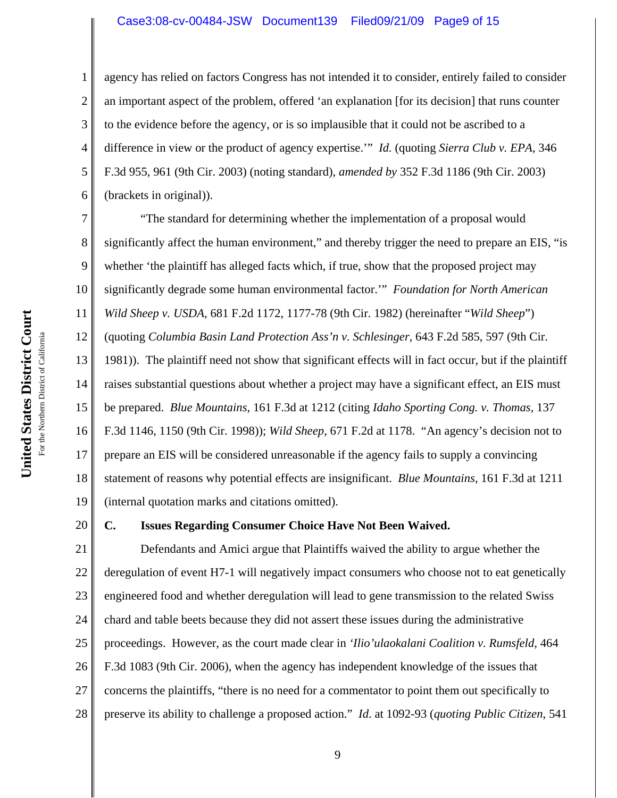#### Case3:08-cv-00484-JSW Document139 Filed09/21/09 Page9 of 15

agency has relied on factors Congress has not intended it to consider, entirely failed to consider an important aspect of the problem, offered 'an explanation [for its decision] that runs counter to the evidence before the agency, or is so implausible that it could not be ascribed to a difference in view or the product of agency expertise.'" *Id.* (quoting *Sierra Club v. EPA*, 346 F.3d 955, 961 (9th Cir. 2003) (noting standard), *amended by* 352 F.3d 1186 (9th Cir. 2003) (brackets in original)).

7 8 9 10 11 12 13 14 15 16 17 18 19 "The standard for determining whether the implementation of a proposal would significantly affect the human environment," and thereby trigger the need to prepare an EIS, "is whether 'the plaintiff has alleged facts which, if true, show that the proposed project may significantly degrade some human environmental factor.'" *Foundation for North American Wild Sheep v. USDA*, 681 F.2d 1172, 1177-78 (9th Cir. 1982) (hereinafter "*Wild Sheep*") (quoting *Columbia Basin Land Protection Ass'n v. Schlesinger,* 643 F.2d 585, 597 (9th Cir. 1981)). The plaintiff need not show that significant effects will in fact occur*,* but if the plaintiff raises substantial questions about whether a project may have a significant effect, an EIS must be prepared. *Blue Mountains*, 161 F.3d at 1212 (citing *Idaho Sporting Cong. v. Thomas,* 137 F.3d 1146, 1150 (9th Cir. 1998)); *Wild Sheep*, 671 F.2d at 1178. "An agency's decision not to prepare an EIS will be considered unreasonable if the agency fails to supply a convincing statement of reasons why potential effects are insignificant. *Blue Mountains*, 161 F.3d at 1211 (internal quotation marks and citations omitted).

20

1

2

3

4

5

6

### **C. Issues Regarding Consumer Choice Have Not Been Waived.**

21 22 23 24 25 26 27 28 Defendants and Amici argue that Plaintiffs waived the ability to argue whether the deregulation of event H7-1 will negatively impact consumers who choose not to eat genetically engineered food and whether deregulation will lead to gene transmission to the related Swiss chard and table beets because they did not assert these issues during the administrative proceedings. However, as the court made clear in *'Ilio'ulaokalani Coalition v. Rumsfeld*, 464 F.3d 1083 (9th Cir. 2006), when the agency has independent knowledge of the issues that concerns the plaintiffs, "there is no need for a commentator to point them out specifically to preserve its ability to challenge a proposed action." *Id*. at 1092-93 (*quoting Public Citizen*, 541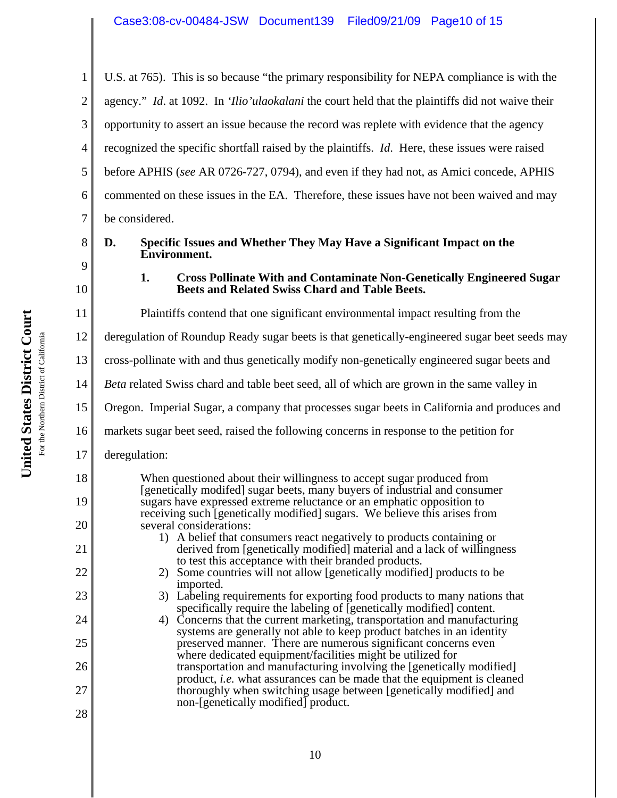1 2 3 4 5 6 7 U.S. at 765). This is so because "the primary responsibility for NEPA compliance is with the agency." *Id*. at 1092. In *'Ilio'ulaokalani* the court held that the plaintiffs did not waive their opportunity to assert an issue because the record was replete with evidence that the agency recognized the specific shortfall raised by the plaintiffs. *Id*. Here, these issues were raised before APHIS (*see* AR 0726-727, 0794), and even if they had not, as Amici concede, APHIS commented on these issues in the EA. Therefore, these issues have not been waived and may be considered.

# **D. Specific Issues and Whether They May Have a Significant Impact on the Environment.**

# **1. Cross Pollinate With and Contaminate Non-Genetically Engineered Sugar Beets and Related Swiss Chard and Table Beets.**

Plaintiffs contend that one significant environmental impact resulting from the

12 deregulation of Roundup Ready sugar beets is that genetically-engineered sugar beet seeds may

13 cross-pollinate with and thus genetically modify non-genetically engineered sugar beets and

14 *Beta* related Swiss chard and table beet seed, all of which are grown in the same valley in

15 Oregon. Imperial Sugar, a company that processes sugar beets in California and produces and

16 markets sugar beet seed, raised the following concerns in response to the petition for

17 deregulation:

> When questioned about their willingness to accept sugar produced from [genetically modifed] sugar beets, many buyers of industrial and consumer sugars have expressed extreme reluctance or an emphatic opposition to receiving such [genetically modified] sugars. We believe this arises from several considerations:

 1) A belief that consumers react negatively to products containing or derived from [genetically modified] material and a lack of willingness to test this acceptance with their branded products.

- 2) Some countries will not allow [genetically modified] products to be imported.
- 3) Labeling requirements for exporting food products to many nations that specifically require the labeling of [genetically modified] content.
- 4) Concerns that the current marketing, transportation and manufacturing systems are generally not able to keep product batches in an identity preserved manner. There are numerous significant concerns even where dedicated equipment/facilities might be utilized for transportation and manufacturing involving the [genetically modified] product, *i.e.* what assurances can be made that the equipment is cleaned thoroughly when switching usage between [genetically modified] and non-[genetically modified] product.

8

9

10

11

18

19

20

21

22

23

24

25

26

27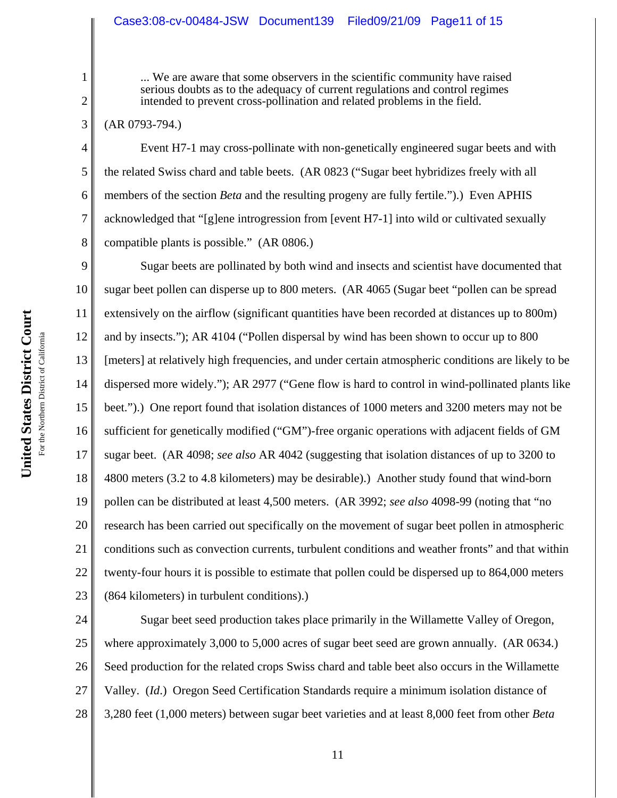# Case3:08-cv-00484-JSW Document139 Filed09/21/09 Page11 of 15

... We are aware that some observers in the scientific community have raised serious doubts as to the adequacy of current regulations and control regimes intended to prevent cross-pollination and related problems in the field.

(AR 0793-794.)

1

2

3

4

5

6

7

8

Event H7-1 may cross-pollinate with non-genetically engineered sugar beets and with the related Swiss chard and table beets. (AR 0823 ("Sugar beet hybridizes freely with all members of the section *Beta* and the resulting progeny are fully fertile.").) Even APHIS acknowledged that "[g]ene introgression from [event H7-1] into wild or cultivated sexually compatible plants is possible." (AR 0806.)

9 10 11 12 13 14 15 16 17 18 19 20 21 22 23 Sugar beets are pollinated by both wind and insects and scientist have documented that sugar beet pollen can disperse up to 800 meters. (AR 4065 (Sugar beet "pollen can be spread extensively on the airflow (significant quantities have been recorded at distances up to 800m) and by insects."); AR 4104 ("Pollen dispersal by wind has been shown to occur up to 800 [meters] at relatively high frequencies, and under certain atmospheric conditions are likely to be dispersed more widely."); AR 2977 ("Gene flow is hard to control in wind-pollinated plants like beet.").) One report found that isolation distances of 1000 meters and 3200 meters may not be sufficient for genetically modified ("GM")-free organic operations with adjacent fields of GM sugar beet. (AR 4098; *see also* AR 4042 (suggesting that isolation distances of up to 3200 to 4800 meters (3.2 to 4.8 kilometers) may be desirable).) Another study found that wind-born pollen can be distributed at least 4,500 meters. (AR 3992; *see also* 4098-99 (noting that "no research has been carried out specifically on the movement of sugar beet pollen in atmospheric conditions such as convection currents, turbulent conditions and weather fronts" and that within twenty-four hours it is possible to estimate that pollen could be dispersed up to 864,000 meters (864 kilometers) in turbulent conditions).)

24 25 26 27 28 Sugar beet seed production takes place primarily in the Willamette Valley of Oregon, where approximately 3,000 to 5,000 acres of sugar beet seed are grown annually. (AR 0634.) Seed production for the related crops Swiss chard and table beet also occurs in the Willamette Valley. (*Id*.) Oregon Seed Certification Standards require a minimum isolation distance of 3,280 feet (1,000 meters) between sugar beet varieties and at least 8,000 feet from other *Beta*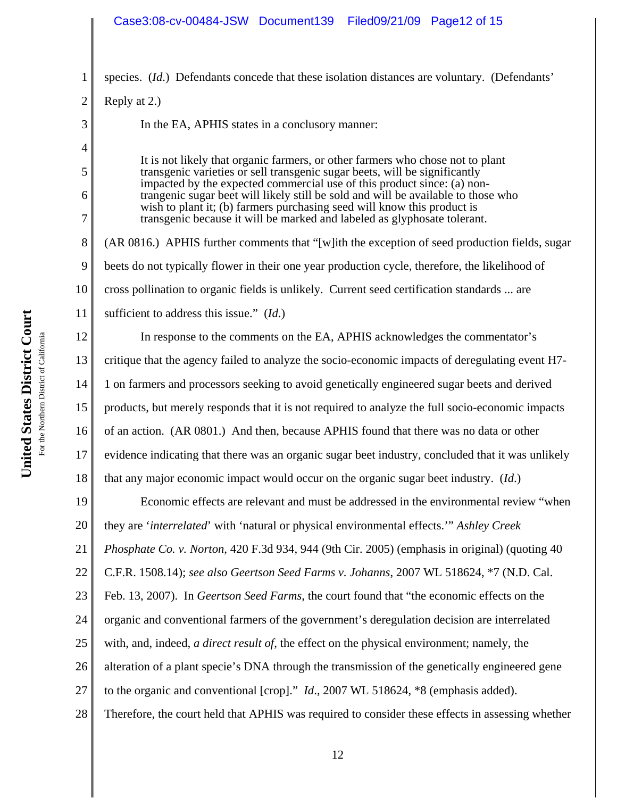# Case3:08-cv-00484-JSW Document139 Filed09/21/09 Page12 of 15

United States District Court **United States District Court** For the Northern District of California For the Northern District of California

1 2 3 4 5 6 7 8 9 10 11 12 13 14 15 16 17 18 19 20 21 22 23 24 25 26 27 28 species. (*Id.*) Defendants concede that these isolation distances are voluntary. (Defendants' Reply at 2.) In the EA, APHIS states in a conclusory manner: It is not likely that organic farmers, or other farmers who chose not to plant transgenic varieties or sell transgenic sugar beets, will be significantly impacted by the expected commercial use of this product since: (a) nontrangenic sugar beet will likely still be sold and will be available to those who wish to plant it; (b) farmers purchasing seed will know this product is transgenic because it will be marked and labeled as glyphosate tolerant. (AR 0816.) APHIS further comments that "[w]ith the exception of seed production fields, sugar beets do not typically flower in their one year production cycle, therefore, the likelihood of cross pollination to organic fields is unlikely. Current seed certification standards ... are sufficient to address this issue." (*Id*.) In response to the comments on the EA, APHIS acknowledges the commentator's critique that the agency failed to analyze the socio-economic impacts of deregulating event H7- 1 on farmers and processors seeking to avoid genetically engineered sugar beets and derived products, but merely responds that it is not required to analyze the full socio-economic impacts of an action. (AR 0801.) And then, because APHIS found that there was no data or other evidence indicating that there was an organic sugar beet industry, concluded that it was unlikely that any major economic impact would occur on the organic sugar beet industry. (*Id*.) Economic effects are relevant and must be addressed in the environmental review "when they are '*interrelated*' with 'natural or physical environmental effects.'" *Ashley Creek Phosphate Co. v. Norton*, 420 F.3d 934, 944 (9th Cir. 2005) (emphasis in original) (quoting 40 C.F.R. 1508.14); *see also Geertson Seed Farms v. Johanns*, 2007 WL 518624, \*7 (N.D. Cal. Feb. 13, 2007). In *Geertson Seed Farms*, the court found that "the economic effects on the organic and conventional farmers of the government's deregulation decision are interrelated with, and, indeed, *a direct result of*, the effect on the physical environment; namely, the alteration of a plant specie's DNA through the transmission of the genetically engineered gene to the organic and conventional [crop]." *Id*., 2007 WL 518624, \*8 (emphasis added). Therefore, the court held that APHIS was required to consider these effects in assessing whether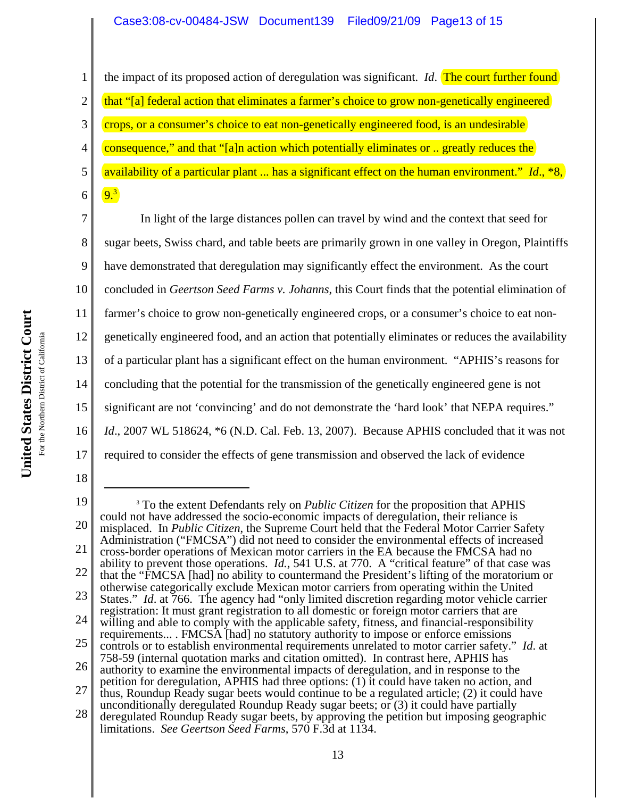# Case3:08-cv-00484-JSW Document139 Filed09/21/09 Page13 of 15

18

1 2 3 4 5 the impact of its proposed action of deregulation was significant. *Id*. The court further found that "[a] federal action that eliminates a farmer's choice to grow non-genetically engineered crops, or a consumer's choice to eat non-genetically engineered food, is an undesirable consequence," and that "[a]n action which potentially eliminates or .. greatly reduces the availability of a particular plant ... has a significant effect on the human environment." *Id*., \*8,

6 9.3

7 8 9 10 11 12 13 14 15 16 17 In light of the large distances pollen can travel by wind and the context that seed for sugar beets, Swiss chard, and table beets are primarily grown in one valley in Oregon, Plaintiffs have demonstrated that deregulation may significantly effect the environment. As the court concluded in *Geertson Seed Farms v. Johanns*, this Court finds that the potential elimination of farmer's choice to grow non-genetically engineered crops, or a consumer's choice to eat nongenetically engineered food, and an action that potentially eliminates or reduces the availability of a particular plant has a significant effect on the human environment. "APHIS's reasons for concluding that the potential for the transmission of the genetically engineered gene is not significant are not 'convincing' and do not demonstrate the 'hard look' that NEPA requires." *Id.*, 2007 WL 518624,  $*6$  (N.D. Cal. Feb. 13, 2007). Because APHIS concluded that it was not required to consider the effects of gene transmission and observed the lack of evidence

<sup>19</sup> 20 21 22 23 24 25 26 27 28 <sup>3</sup> To the extent Defendants rely on *Public Citizen* for the proposition that APHIS could not have addressed the socio-economic impacts of deregulation, their reliance is misplaced. In *Public Citizen*, the Supreme Court held that the Federal Motor Carrier Safety Administration ("FMCSA") did not need to consider the environmental effects of increased cross-border operations of Mexican motor carriers in the EA because the FMCSA had no ability to prevent those operations. *Id.*, 541 U.S. at 770. A "critical feature" of that case was that the "FMCSA [had] no ability to countermand the President's lifting of the moratorium or otherwise categorically exclude Mexican motor carriers from operating within the United States." *Id*. at 766. The agency had "only limited discretion regarding motor vehicle carrier registration: It must grant registration to all domestic or foreign motor carriers that are willing and able to comply with the applicable safety, fitness, and financial-responsibility requirements... . FMCSA [had] no statutory authority to impose or enforce emissions controls or to establish environmental requirements unrelated to motor carrier safety." *Id*. at 758-59 (internal quotation marks and citation omitted). In contrast here, APHIS has authority to examine the environmental impacts of deregulation, and in response to the petition for deregulation, APHIS had three options: (1) it could have taken no action, and thus, Roundup Ready sugar beets would continue to be a regulated article; (2) it could have unconditionally deregulated Roundup Ready sugar beets; or (3) it could have partially deregulated Roundup Ready sugar beets, by approving the petition but imposing geographic limitations. *See Geertson Seed Farms*, 570 F.3d at 1134.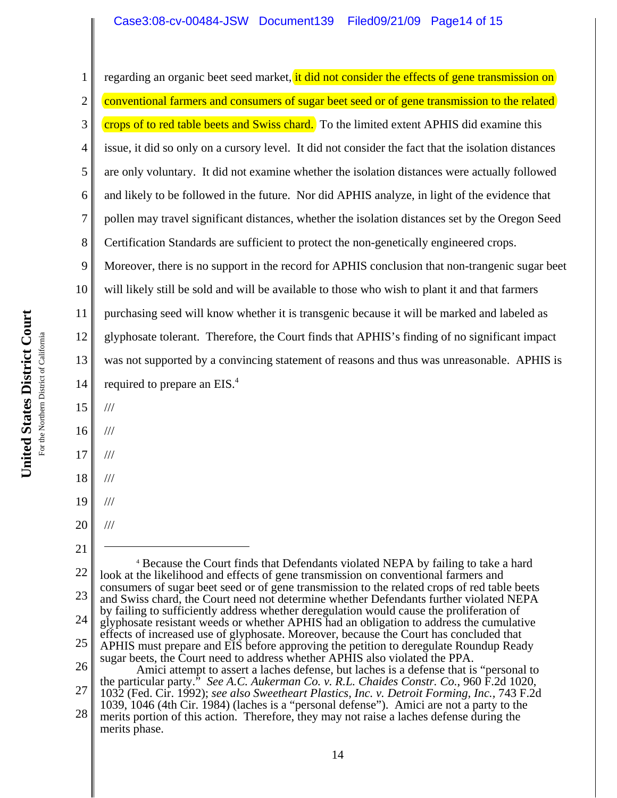# Case3:08-cv-00484-JSW Document139 Filed09/21/09 Page14 of 15

1 2 3 4 5 6 7 8 9 10 11 12 13 14 15 16 17 18 19 20 21 22 23 24 25 26 27 28 4 Because the Court finds that Defendants violated NEPA by failing to take a hard look at the likelihood and effects of gene transmission on conventional farmers and consumers of sugar beet seed or of gene transmission to the related crops of red table beets and Swiss chard, the Court need not determine whether Defendants further violated NEPA by failing to sufficiently address whether deregulation would cause the proliferation of glyphosate resistant weeds or whether APHIS had an obligation to address the cumulative effects of increased use of glyphosate. Moreover, because the Court has concluded that APHIS must prepare and EIS before approving the petition to deregulate Roundup Ready sugar beets, the Court need to address whether APHIS also violated the PPA. Amici attempt to assert a laches defense, but laches is a defense that is "personal to the particular party." *See A.C. Aukerman Co. v. R.L. Chaides Constr. Co.*, 960 F.2d 1020, 1032 (Fed. Cir. 1992); *see also Sweetheart Plastics, Inc. v. Detroit Forming, Inc.,* 743 F.2d 1039, 1046 (4th Cir. 1984) (laches is a "personal defense"). Amici are not a party to the merits portion of this action. Therefore, they may not raise a laches defense during the merits phase. regarding an organic beet seed market, it did not consider the effects of gene transmission on conventional farmers and consumers of sugar beet seed or of gene transmission to the related crops of to red table beets and Swiss chard. To the limited extent APHIS did examine this issue, it did so only on a cursory level. It did not consider the fact that the isolation distances are only voluntary. It did not examine whether the isolation distances were actually followed and likely to be followed in the future. Nor did APHIS analyze, in light of the evidence that pollen may travel significant distances, whether the isolation distances set by the Oregon Seed Certification Standards are sufficient to protect the non-genetically engineered crops. Moreover, there is no support in the record for APHIS conclusion that non-trangenic sugar beet will likely still be sold and will be available to those who wish to plant it and that farmers purchasing seed will know whether it is transgenic because it will be marked and labeled as glyphosate tolerant. Therefore, the Court finds that APHIS's finding of no significant impact was not supported by a convincing statement of reasons and thus was unreasonable. APHIS is required to prepare an EIS.<sup>4</sup> /// /// /// /// /// ///